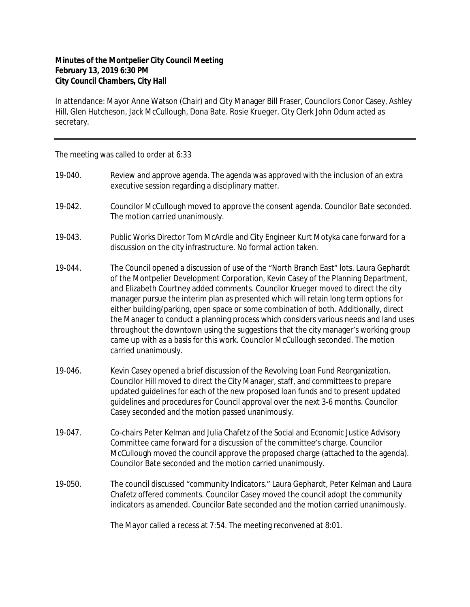## **Minutes of the Montpelier City Council Meeting February 13, 2019 6:30 PM City Council Chambers, City Hall**

In attendance: Mayor Anne Watson (Chair) and City Manager Bill Fraser, Councilors Conor Casey, Ashley Hill, Glen Hutcheson, Jack McCullough, Dona Bate. Rosie Krueger. City Clerk John Odum acted as secretary.

The meeting was called to order at 6:33

- 19-040. Review and approve agenda. The agenda was approved with the inclusion of an extra executive session regarding a disciplinary matter.
- 19-042. Councilor McCullough moved to approve the consent agenda. Councilor Bate seconded. The motion carried unanimously.
- 19-043. Public Works Director Tom McArdle and City Engineer Kurt Motyka cane forward for a discussion on the city infrastructure. No formal action taken.
- 19-044. The Council opened a discussion of use of the "North Branch East" lots. Laura Gephardt of the Montpelier Development Corporation, Kevin Casey of the Planning Department, and Elizabeth Courtney added comments. Councilor Krueger moved to direct the city manager pursue the interim plan as presented which will retain long term options for either building/parking, open space or some combination of both. Additionally, direct the Manager to conduct a planning process which considers various needs and land uses throughout the downtown using the suggestions that the city manager's working group came up with as a basis for this work. Councilor McCullough seconded. The motion carried unanimously.
- 19-046. Kevin Casey opened a brief discussion of the Revolving Loan Fund Reorganization. Councilor Hill moved to direct the City Manager, staff, and committees to prepare updated guidelines for each of the new proposed loan funds and to present updated guidelines and procedures for Council approval over the next 3-6 months. Councilor Casey seconded and the motion passed unanimously.
- 19-047. Co-chairs Peter Kelman and Julia Chafetz of the Social and Economic Justice Advisory Committee came forward for a discussion of the committee's charge. Councilor McCullough moved the council approve the proposed charge (attached to the agenda). Councilor Bate seconded and the motion carried unanimously.
- 19-050. The council discussed "community Indicators." Laura Gephardt, Peter Kelman and Laura Chafetz offered comments. Councilor Casey moved the council adopt the community indicators as amended. Councilor Bate seconded and the motion carried unanimously.

The Mayor called a recess at 7:54. The meeting reconvened at 8:01.